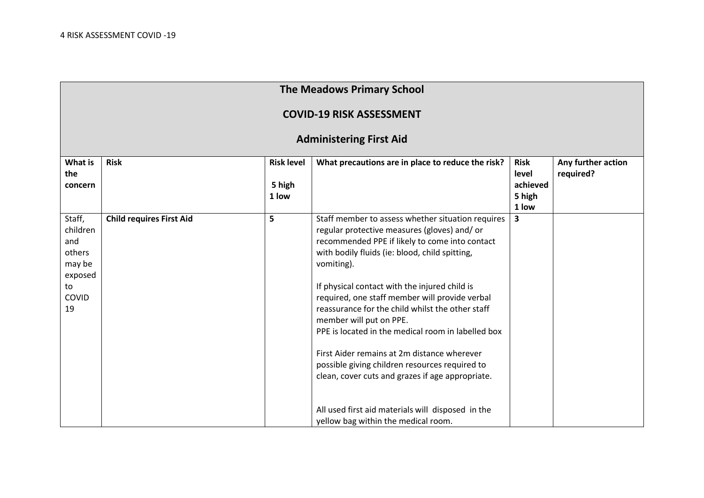| <b>The Meadows Primary School</b>                                             |                                 |                                      |                                                                                                                                                                                                                                                                                                                                                                                                                                                                                                                                                                                                                                                                                                             |                                                     |                                 |  |  |  |
|-------------------------------------------------------------------------------|---------------------------------|--------------------------------------|-------------------------------------------------------------------------------------------------------------------------------------------------------------------------------------------------------------------------------------------------------------------------------------------------------------------------------------------------------------------------------------------------------------------------------------------------------------------------------------------------------------------------------------------------------------------------------------------------------------------------------------------------------------------------------------------------------------|-----------------------------------------------------|---------------------------------|--|--|--|
| <b>COVID-19 RISK ASSESSMENT</b>                                               |                                 |                                      |                                                                                                                                                                                                                                                                                                                                                                                                                                                                                                                                                                                                                                                                                                             |                                                     |                                 |  |  |  |
| <b>Administering First Aid</b>                                                |                                 |                                      |                                                                                                                                                                                                                                                                                                                                                                                                                                                                                                                                                                                                                                                                                                             |                                                     |                                 |  |  |  |
| <b>What is</b><br>the<br>concern                                              | <b>Risk</b>                     | <b>Risk level</b><br>5 high<br>1 low | What precautions are in place to reduce the risk?                                                                                                                                                                                                                                                                                                                                                                                                                                                                                                                                                                                                                                                           | <b>Risk</b><br>level<br>achieved<br>5 high<br>1 low | Any further action<br>required? |  |  |  |
| Staff,<br>children<br>and<br>others<br>may be<br>exposed<br>to<br>COVID<br>19 | <b>Child requires First Aid</b> | 5                                    | Staff member to assess whether situation requires<br>regular protective measures (gloves) and/or<br>recommended PPE if likely to come into contact<br>with bodily fluids (ie: blood, child spitting,<br>vomiting).<br>If physical contact with the injured child is<br>required, one staff member will provide verbal<br>reassurance for the child whilst the other staff<br>member will put on PPE.<br>PPE is located in the medical room in labelled box<br>First Aider remains at 2m distance wherever<br>possible giving children resources required to<br>clean, cover cuts and grazes if age appropriate.<br>All used first aid materials will disposed in the<br>yellow bag within the medical room. | $\overline{\mathbf{3}}$                             |                                 |  |  |  |